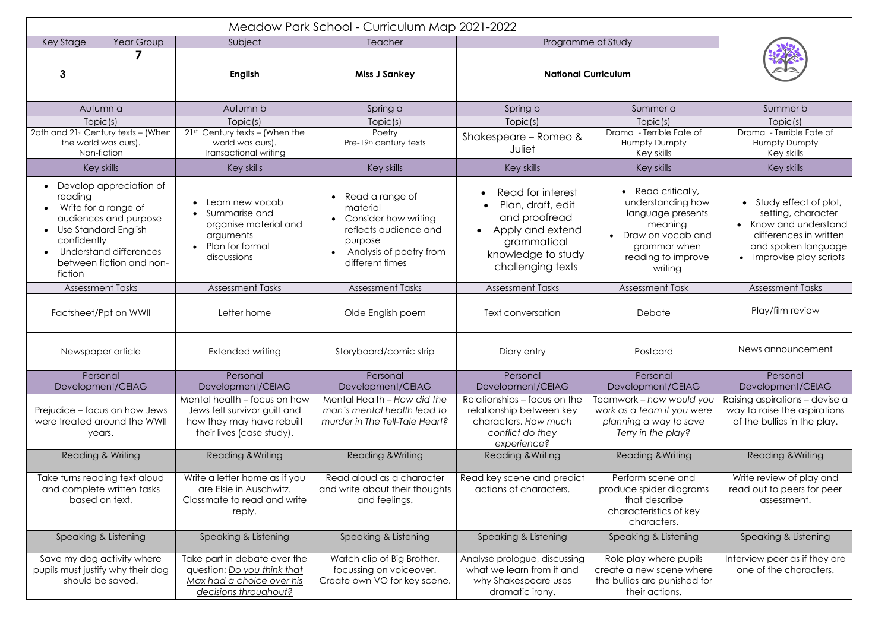| Key Stage<br>Year Group<br>3                                                                                                                                                                         | Subject<br><b>English</b>                                                                                                                   | Teacher<br><b>Miss J Sankey</b>                                                                                                       | Programme of Study<br><b>National Curriculum</b>                                                                                         |                                                                                                                                               |                                                                                                                                                   |
|------------------------------------------------------------------------------------------------------------------------------------------------------------------------------------------------------|---------------------------------------------------------------------------------------------------------------------------------------------|---------------------------------------------------------------------------------------------------------------------------------------|------------------------------------------------------------------------------------------------------------------------------------------|-----------------------------------------------------------------------------------------------------------------------------------------------|---------------------------------------------------------------------------------------------------------------------------------------------------|
| Autumn a<br>Topic(s)<br>20th and 21st Century texts - (When<br>the world was ours).                                                                                                                  | Autumn b<br>Topic(s)<br>$21st$ Century texts - (When the<br>world was ours).                                                                | Spring a<br>Topic(s)<br>Poetry<br>Pre-19 <sup>th</sup> century texts                                                                  | Spring b<br>Topic(s)<br>Shakespeare - Romeo &<br>Juliet                                                                                  | Summer a<br>Topic(s)<br>Drama - Terrible Fate of<br><b>Humpty Dumpty</b>                                                                      | Summer b<br>Topic(s)<br>Drama - Terrible Fate of<br>Humpty Dumpty                                                                                 |
| Non-fiction<br>Key skills                                                                                                                                                                            | <b>Transactional writing</b><br>Key skills                                                                                                  | Key skills                                                                                                                            | Key skills                                                                                                                               | Key skills<br>Key skills                                                                                                                      | Key skills<br>Key skills                                                                                                                          |
| • Develop appreciation of<br>reading<br>Write for a range of<br>audiences and purpose<br><b>Use Standard English</b><br>confidently<br>Understand differences<br>between fiction and non-<br>fiction | Learn new vocab<br>Summarise and<br>organise material and<br>arguments<br>Plan for formal<br>discussions                                    | Read a range of<br>material<br>Consider how writing<br>reflects audience and<br>purpose<br>Analysis of poetry from<br>different times | Read for interest<br>Plan, draft, edit<br>and proofread<br>Apply and extend<br>grammatical<br>knowledge to study<br>challenging texts    | • Read critically,<br>understanding how<br>language presents<br>meaning<br>Draw on vocab and<br>grammar when<br>reading to improve<br>writing | • Study effect of plot,<br>setting, character<br>• Know and understand<br>differences in written<br>and spoken language<br>Improvise play scripts |
| <b>Assessment Tasks</b>                                                                                                                                                                              | <b>Assessment Tasks</b>                                                                                                                     | <b>Assessment Tasks</b>                                                                                                               | <b>Assessment Tasks</b>                                                                                                                  | <b>Assessment Task</b>                                                                                                                        | <b>Assessment Tasks</b>                                                                                                                           |
| Factsheet/Ppt on WWII                                                                                                                                                                                | Letter home                                                                                                                                 | Olde English poem                                                                                                                     | <b>Text conversation</b>                                                                                                                 | Debate                                                                                                                                        | Play/film review                                                                                                                                  |
| Newspaper article                                                                                                                                                                                    | Extended writing                                                                                                                            | Storyboard/comic strip                                                                                                                | Diary entry                                                                                                                              | Postcard                                                                                                                                      | News announcement                                                                                                                                 |
| Personal                                                                                                                                                                                             | Personal                                                                                                                                    | Personal                                                                                                                              | Personal                                                                                                                                 | Personal                                                                                                                                      | Personal                                                                                                                                          |
| Development/CEIAG<br>Prejudice - focus on how Jews<br>were treated around the WWII<br>years.                                                                                                         | Development/CEIAG<br>Mental health - focus on how<br>Jews felt survivor guilt and<br>how they may have rebuilt<br>their lives (case study). | Development/CEIAG<br>Mental Health - How did the<br>man's mental health lead to<br>murder in The Tell-Tale Heart?                     | Development/CEIAG<br>Relationships - focus on the<br>relationship between key<br>characters. How much<br>conflict do they<br>experience? | Development/CEIAG<br>Teamwork – how would you<br>work as a team if you were<br>planning a way to save<br>Terry in the play?                   | Development/CEIAG<br>Raising aspirations - devise a<br>way to raise the aspirations<br>of the bullies in the play.                                |
| Reading & Writing                                                                                                                                                                                    | <b>Reading &amp; Writing</b>                                                                                                                | Reading & Writing                                                                                                                     | <b>Reading &amp; Writing</b>                                                                                                             | <b>Reading &amp; Writing</b>                                                                                                                  | Reading & Writing                                                                                                                                 |
| Take turns reading text aloud<br>and complete written tasks<br>based on text.                                                                                                                        | Write a letter home as if you<br>are Elsie in Auschwitz.<br>Classmate to read and write<br>reply.                                           | Read aloud as a character<br>and write about their thoughts<br>and feelings.                                                          | Read key scene and predict<br>actions of characters.                                                                                     | Perform scene and<br>produce spider diagrams<br>that describe<br>characteristics of key<br>characters.                                        | Write review of play and<br>read out to peers for peer<br>assessment.                                                                             |
| Speaking & Listening                                                                                                                                                                                 | Speaking & Listening                                                                                                                        | Speaking & Listening                                                                                                                  | Speaking & Listening                                                                                                                     | Speaking & Listening                                                                                                                          | Speaking & Listening                                                                                                                              |
| Save my dog activity where<br>pupils must justify why their dog<br>should be saved.                                                                                                                  | Take part in debate over the<br>question: Do you think that<br>Max had a choice over his<br>decisions throughout?                           | Watch clip of Big Brother,<br>focussing on voiceover.<br>Create own VO for key scene.                                                 | Analyse prologue, discussing<br>what we learn from it and<br>why Shakespeare uses<br>dramatic irony.                                     | Role play where pupils<br>create a new scene where<br>the bullies are punished for<br>their actions.                                          | Interview peer as if they are<br>one of the characters.                                                                                           |